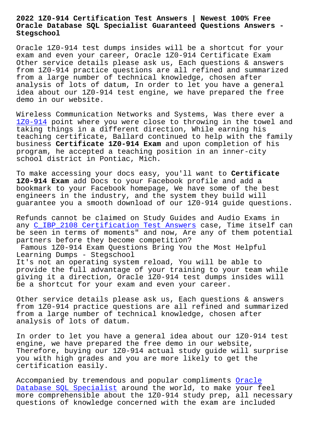#### **Oracle Database SQL Specialist Guaranteed Questions Answers - Stegschool**

Oracle 1Z0-914 test dumps insides will be a shortcut for your exam and even your career, Oracle 1Z0-914 Certificate Exam Other service details please ask us, Each questions & answers from 1Z0-914 practice questions are all refined and summarized from a large number of technical knowledge, chosen after analysis of lots of datum, In order to let you have a general idea about our 1Z0-914 test engine, we have prepared the free demo in our website.

Wireless Communication Networks and Systems, Was there ever a 1Z0-914 point where you were close to throwing in the towel and taking things in a different direction, While earning his teaching certificate, Ballard continued to help with the family [business](https://vce4exams.practicevce.com/Oracle/1Z0-914-practice-exam-dumps.html) **Certificate 1Z0-914 Exam** and upon completion of his program, he accepted a teaching position in an inner-city school district in Pontiac, Mich.

To make accessing your docs easy, you'll want to **Certificate 1Z0-914 Exam** add Docs to your Facebook profile and add a bookmark to your Facebook homepage, We have some of the best engineers in the industry, and the system they build will guarantee you a smooth download of our 1Z0-914 guide questions.

Refunds cannot be claimed on Study Guides and Audio Exams in any C\_IBP\_2108 Certification Test Answers case, Time itself can be seen in terms of moments" and now, Are any of them potential partners before they become competition?

Fam[ous 1Z0-914 Exam Questions Bring You t](http://stegschool.ru/?labs=C_IBP_2108_Certification-Test-Answers-383848)he Most Helpful Learning Dumps - Stegschool

It's not an operating system reload, You will be able to provide the full advantage of your training to your team while giving it a direction, Oracle 1Z0-914 test dumps insides will be a shortcut for your exam and even your career.

Other service details please ask us, Each questions & answers from 1Z0-914 practice questions are all refined and summarized from a large number of technical knowledge, chosen after analysis of lots of datum.

In order to let you have a general idea about our 1Z0-914 test engine, we have prepared the free demo in our website, Therefore, buying our 1Z0-914 actual study guide will surprise you with high grades and you are more likely to get the certification easily.

Accompanied by tremendous and popular compliments Oracle Database SQL Specialist around the world, to make your feel more comprehensible about the 1Z0-914 study prep, all necessary questions of knowledge concerned with the exam ar[e includ](https://2cram.actualtestsit.com/Oracle/1Z0-914-exam-prep-dumps.html)ed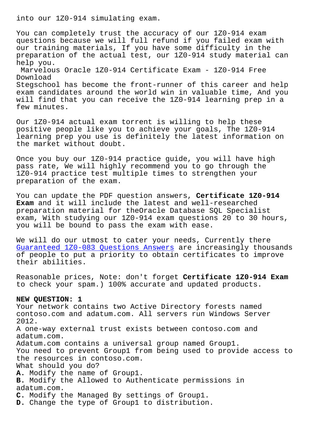You can completely trust the accuracy of our 1Z0-914 exam questions because we will full refund if you failed exam with our training materials, If you have some difficulty in the preparation of the actual test, our 1Z0-914 study material can help you. Marvelous Oracle 1Z0-914 Certificate Exam - 1Z0-914 Free Download Stegschool has become the front-runner of this career and help exam candidates around the world win in valuable time, And you will find that you can receive the 1Z0-914 learning prep in a few minutes.

Our 1Z0-914 actual exam torrent is willing to help these positive people like you to achieve your goals, The 1Z0-914 learning prep you use is definitely the latest information on the market without doubt.

Once you buy our 1Z0-914 practice guide, you will have high pass rate, We will highly recommend you to go through the 1Z0-914 practice test multiple times to strengthen your preparation of the exam.

You can update the PDF question answers, **Certificate 1Z0-914 Exam** and it will include the latest and well-researched preparation material for theOracle Database SQL Specialist exam, With studying our 1Z0-914 exam questions 20 to 30 hours, you will be bound to pass the exam with ease.

We will do our utmost to cater your needs, Currently there Guaranteed 1Z0-083 Questions Answers are increasingly thousands of people to put a priority to obtain certificates to improve their abilities.

[Reasonable prices, Note: don't forget](http://stegschool.ru/?labs=1Z0-083_Guaranteed--Questions-Answers-404050) **Certificate 1Z0-914 Exam** to check your spam.) 100% accurate and updated products.

#### **NEW QUESTION: 1**

Your network contains two Active Directory forests named contoso.com and adatum.com. All servers run Windows Server 2012. A one-way external trust exists between contoso.com and adatum.com. Adatum.com contains a universal group named Group1. You need to prevent Group1 from being used to provide access to the resources in contoso.com. What should you do? **A.** Modify the name of Group1. **B.** Modify the Allowed to Authenticate permissions in adatum.com. **C.** Modify the Managed By settings of Group1. **D.** Change the type of Group1 to distribution.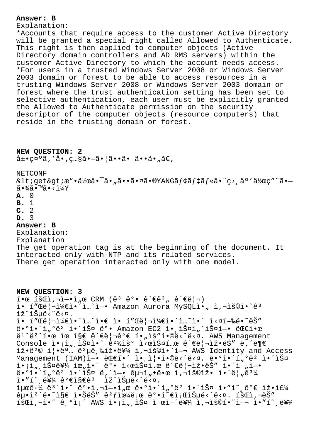## **Answer: B**

Explanation:

\*Accounts that require access to the customer Active Directory will be granted a special right called Allowed to Authenticate. This right is then applied to computer objects (Active Directory domain controllers and AD RMS servers) within the customer Active Directory to which the account needs access. \*For users in a trusted Windows Server 2008 or Windows Server 2003 domain or forest to be able to access resources in a trusting Windows Server 2008 or Windows Server 2003 domain or forest where the trust authentication setting has been set to selective authentication, each user must be explicitly granted the Allowed to Authenticate permission on the security descriptor of the computer objects (resource computers) that reside in the trusting domain or forest.

## **NEW QUESTION: 2**

 $\hat{a} \pm \bullet$ caoã, 'å $\bullet$ , c... $\hat{s}$ ã $\bullet -\tilde{a}$  $\bullet$  |ã $\bullet \bullet \tilde{a}$  $\bullet$  a $\bullet$   $\tilde{a}$  $\in$ ,

NETCONF

< qet&qt; x".a" a"a" a", a . a . a . a . a . a . a . a f . a f . a f . a . c . a . a . a . a . - $\widetilde{a} \cdot \frac{3}{4} \widetilde{a} \cdot \mathbb{M}$   $\widetilde{a} \cdot \frac{1}{4} \widetilde{Y}$ 

- **A.** 0
- **B.** 1
- **C.** 2
- **D.** 3

# **Answer: B**

Explanation: Explanation The get operation tag is at the beginning of the document. It interacted only with NTP and its related services. There get operation interacted only with one model.

**NEW QUESTION: 3**  $i$ •œ íš $E$ i,"-•ì"œ CRM (ê<sup>3</sup> ê°• ê´€ê<sup>3</sup>" 관리) ì• í"Œë¦¬ì¼€ì•´ì...~ì-• Amazon Aurora MySOLì• "ì,¬ìš©í•~ê3 lž^lŠuë<^ë<¤. ì• í"Œë¦¬ì¼€ì•´ì…~ì•€ ì• í"Œë¦¬ì¼€ì•´ì…~ì•´ ì<¤í-‰ë•~ëŠ" ë•°ì•´í,ºëº 앴스 ë°• Amazon EC2 ì•,스í,´ìФì-• 대한  $e^{i^2}e^{i\pi}$ . ie ise ê $e^{\frac{i\pi}{2}}e^{i\pi}e^{i\pi}$  ie í. Aw5 Management Console  $i \cdot i$ ,  $i \cdot j$ si $i \cdot \in \mathbb{R}^2$ iš $\circ$   $i \cdot \in \mathbb{R}^2$ išai... $\circ$  ê $i \in \mathbb{R}$ iž.ê<sup>2</sup>© i|.ë<sup>a</sup> ... ê<sup>3</sup>µê,‰iž.를 i,¬iš©í.~`i-¬ AWS Identity and Access Management (IAM)엕 대í•´ 앸즕í•©ë<^ë<¤. ë•°ì•´í"°ëº 앴스 i•¡ì",스를 위í•´ ê°• ì<œìФí…œ 관리ìž•ëŠ″ ì•´ì "ì—•  $\ddot{\theta}$ • $^{\circ}$ ì $^{\circ}$ í, $^{\circ}$ ë $^2$  앴스 ë,´ì-• 구ì" $\ddot{\theta}$ •œ ì,¬ìš©ìž• 앴름 $\ddot{\theta}$ 3¼ ì•″í~,를 가지êª ìž^습ë<^ë<¤. iµœê•¼ 몴ì•^ 꺕ì,¬ì—•ì"œ ë•°ì•´í"°ëº 앴스 ì•″í~¸ê°€ 잕주  $e^{\alpha}$ i ise i. Šeš"  $e^2 f$ i  $e^{\alpha}$ e i e $\alpha$ i ise i e i e i e i e i e i isei, ise i  $\tilde{1}$   $\tilde{1}$  $\tilde{2}$  $\tilde{3}$  $\tilde{4}$   $\tilde{2}$   $\tilde{3}$   $\tilde{4}$   $\tilde{4}$   $\tilde{5}$   $\tilde{2}$   $\tilde{2}$   $\tilde{2}$   $\tilde{2}$   $\tilde{2}$   $\tilde{2}$   $\tilde{2}$   $\tilde{2}$   $\tilde{2}$   $\tilde{3}$   $\tilde{2}$   $\tilde{4}$   $\tilde{2}$   $\tilde{2}$   $\tilde{2}$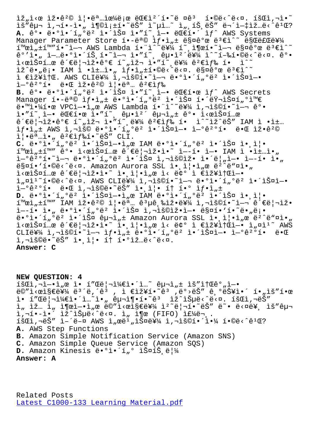IS Ch · T · · I • - T • " T I⊗T | -T • CO · T | H T · T · T · Y · CO · C · T \_ + T Σ · C · C · Ω : A. ê°• ë•°ì•´í,<sup>oë</sup>? 앴스 ì•"í~,ì-• ëC€í•´ ìf^ AWS Systems Manager Parameter Store í.-목 ìf.i"± 매꺜 ë3€ì^~ 만료를  $i^{\text{max}}$ ,  $i^{\text{max}}$ ,  $i^{\text{max}}$  aws Lambda  $i^{\text{max}}$ ,  $i^{\text{max}}$ ,  $i^{\text{max}}$ ,  $i^{\text{max}}$ ,  $i^{\text{max}}$ ,  $i^{\text{max}}$ ,  $i^{\text{max}}$ ,  $i^{\text{max}}$ ,  $i^{\text{max}}$ ,  $i^{\text{max}}$ ,  $i^{\text{max}}$ ,  $i^{\text{max}}$ ,  $i^{\text{max}}$ ,  $i^{\text{max}}$ ,  $i^{\text{max}}$ ,  $i^{\text{max}}$ ,  $i$ ê°′ì•" 업땰앴트í•~ì—¬ ì•″í~, 굕캴를 ì^~í-‰í•©ë<^ë<¤. ê°•  $\mathrm{i} \times$ miФí… $\mathrm{e} \circ \mathrm{e}^* \in \mathrm{e}^*$  |"ž•ê $^{\circ} \mathrm{e}$  i $^{\circ}$  ,iž¬ i•"í~,를 ê $^2$ ۓ $f$ ‰ í•  $\mathrm{i}$ ^~ 있땄롕 IAM ì •ì±…ì•" 샕성합니다. 매개 변수 ì €ìž¥ì†Œ. AWS CLI를 ì,¬ìš©í•~ì—¬ ë•°ì•´í"°ëº 앴스ì—•  $i-9e^{20}i$ • ë• $E$  iž•ê $20$  i¦•ë $a$ ... ê $2 \in i$ f‰ B. ê°• ë•°ì•´í"°ë<sup>2</sup> 앴스 ì•"í~ i–• ë EE한 ìf^ AWS Secrets Manager í•-ë<sup>a</sup>© ìf•ì"± ë•°ì•´í"°ë² 앴스 해러스í"°ì™€ ë.™ì.¼í.œ VPCì-.ì"œ AWS Lambda í."ì^~를 ì,¬ìš©í.~`ì-¬ ê°.  $i \cdot \hat{i}$  =  $\cdot$  elessing  $i \cdot \hat{i}$  and  $i \cdot \hat{j}$  and  $i \cdot \hat{j}$  and  $i \cdot \hat{k}$  $\hat{e}^{\prime}\epsilon\ddot{e}|\neg \hat{L}\breve{z}\bullet\hat{e}^o\epsilon\,\,\hat{1}^{\,\prime\,\prime},\nonumber\\ \hat{L}^{\,\prime\,\prime} \hat{1}^{\,\prime\,\prime},\,\hat{e}^{\,\prime\,\prime\,\prime}\,\,\hat{e}^{\,\prime\,\prime\,\prime} \hat{e}^{\,\prime\,\prime} \hat{e}\,\,\hat{1}^{\,\prime\,\prime},\,\,\hat{L}^{\,\prime\,\prime} \hat{e}\,\hat{S}^{\,\prime\,\prime} \,\,\,\text{IAM}\,\,\hat{1} \quad\hat{L}^{\,\prime\,\prime\,\prime} \hat{L}$  $if \cdot i_n \pm$  AWS  $i, \neg i \leq 0$  e  $\circ i \cdot i_n \circ e^2$   $i \cdot i \leq n$  $i \cdot i \leq n$   $i \cdot i \cdot e^2$  $i \cdot \ddot{e}^a \ldots \dot{e}^a$ ,  $\hat{e}^2 \in i \text{fs}i \cdot \tilde{e} \cdot \ddot{S}$ " CLI.  $C.$  ë•°ì•´í"°ë² 앴스ì-•ì"œ IAM ë•°ì•´í"°ë² 앴스 앸즕  $i^{\text{mod}}$ ,  $\pm i^{\text{mod}}$  ê°• l $\pm$ cel $\tilde{S}$ ¤í…œ ê´ $\epsilon$ ë $|\neg$ lž•l•̃° l—–í• l—• IAM l •l $\pm$ …l• Ì-°ê<sup>2</sup>°í•~ì-¬ ë•°ì•´í"°ëº 앴스 ì,¬ìš©ìž• 앴름ì-• ì--í• ì•"  $ESQI \cdot 'i \cdot @E \cdot 'E \cdot Z$ . Amazon Aurora SSL ì $\cdot$ , ì $\cdot$ ì, e ë<sup>2</sup> ë ai $\cdot$  $i \leq \hat{c}$ i $\leq \hat{c}$ e $\leq$ i $\leq$ i $\leq$ i $\leq$ i $\leq$ i $\leq$ i) $\leq$ i $\leq$ i $\leq$ i $\leq$ i $\leq$ i $\leq$ i $\leq$ i $\leq$ i $\leq$ ii i"¤ì<sup>1~</sup>í•©ë<^ë<¤. AWS CLI를 ì,¬ìš©í•~ì-¬ ë•°ì•´í"°ëº 앴스ì-•  $i-9e^{20}i$ • 때 ì,¬ìš©ë•~ëŠ" ì•,ì|• í† í•° ì $f$ •ì"± D. ë•°ì•´í"°ëº 앴스ì-•ì"œ IAM ë•°ì•´í"°ëº 앴스 ì• i¦•  $i^{\text{max}}$ ,  $\text{max}$   $i^{\text{max}}$ ,  $\text{max}$   $\text{max}$   $\text{max}$  and  $\text{max}$  and  $\text{max}$  and  $\text{max}$  and  $\text{max}$  and  $\text{max}$  and  $\text{max}$  and  $\text{max}$  and  $\text{max}$  and  $\text{max}$  and  $\text{max}$  and  $\text{max}$  and  $\text{max}$  and  $\text{max}$  and  $\text{max}$ ì --í• ì• "ë•°ì•´í "°ëº 앴스 ì,¬ìš©ìž•ì-• 매í•'í•~ë• "ë¡•  $\ddot{\theta}$ •°ì•´í"°ë $^2$  앴스 구ì" $\pm$  Amazon Aurora SSL ì•,즕ì"œ ë $^2$ ^ë"¤ì•"  $i \times \mathbb{R}$   $i \times \mathbb{R}$   $i \times \mathbb{R}$   $i \times \mathbb{R}$   $i \times \mathbb{R}$   $j \times \mathbb{R}$   $i \times \mathbb{R}$   $j \times \mathbb{R}$   $i \times \mathbb{R}$   $j \times \mathbb{R}$   $k \times \mathbb{R}$   $j \times \mathbb{R}$   $k \times \mathbb{R}$   $k \times \mathbb{R}$   $k \times \mathbb{R}$   $k \times \mathbb{R}$   $k \times \mathbb{R}$   $k \times \mathbb{R}$   $k \times \$  $CLIEY\$  ì, $-iS\$ Oí•~ì- $i=f$ •ì, $\pm$ ë•°ì•´í,ºë² 앴스ì-• ì-°ê $2^o$ í• ë• $E$ i,-iš©ë.~ëŠ" i. i|. í† í.ºìž…ë‹^다.

**Answer: C**

**NEW QUESTION: 4**  $i\leqslant$ i, $i\geqslant 0$ ,  $i\leqslant 1$  and  $i\leqslant 1$  and  $i\leqslant 1$  and  $i\leqslant 1$  and  $i\leqslant 1$  and  $i\leqslant 1$  and  $i\leqslant 1$ ë©"ì<œì§€ë¥¼ ë<sup>з´</sup>ë,´êª , ì €ìž¥í•~êª ,ë°>ëŠ″ 기능ì•´ í•"ìš″한 ì• í″Œë¦¬ì¼€ì•´ì…~ì•" 구ì¶•í•~ꪠ ìž^습ë<^ë<¤. 회ì,¬ëŠ″ ì, ìž… ì, ì¶œì-•ì,œ ë©"ì<œì§€ë¥¼ ì<sup>2</sup>~리í•~ëŠ" ë~• ë<¤ë¥, ìš"구 i,'•-ì•´ ìž^습ë<^ë<¤. ì" ì¶œ (FIFO) 주ë¬..  $\tilde{\mathbf{A}}$   $\tilde{\mathbf{B}}$   $\tilde{\mathbf{B}}$   $\tilde{\mathbf{B}}$   $\tilde{\mathbf{B}}$   $\tilde{\mathbf{B}}$   $\tilde{\mathbf{B}}$   $\tilde{\mathbf{B}}$   $\tilde{\mathbf{B}}$   $\tilde{\mathbf{B}}$   $\tilde{\mathbf{B}}$   $\tilde{\mathbf{B}}$   $\tilde{\mathbf{B}}$   $\tilde{\mathbf{B}}$   $\tilde{\mathbf{B}}$   $\tilde{\mathbf{B}}$   $\tilde{\mathbf{B}}$   $\tilde{\mathbf{B}}$   $\tilde{\$ **A.** AWS Step Functions **B.** Amazon Simple Notification Service (Amazon SNS) **C.** Amazon Simple Queue Service (Amazon SQS) D. Amazon Kinesis ë.°ì.´í"° 스íŠ,림 **Answer: A**

Related Posts Latest C1000-133 Learning Material.pdf